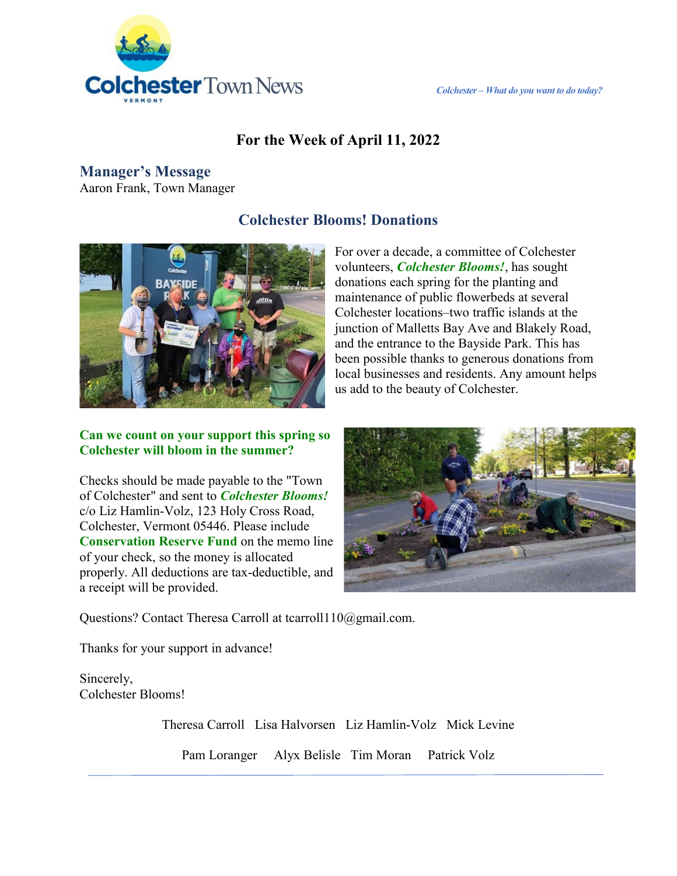

### **For the Week of April 11, 2022**

### **Manager's Message**

Aaron Frank, Town Manager

### **Colchester Blooms! Donations**



For over a decade, a committee of Colchester volunteers, *Colchester Blooms!*, has sought donations each spring for the planting and maintenance of public flowerbeds at several Colchester locations–two traffic islands at the junction of Malletts Bay Ave and Blakely Road, and the entrance to the Bayside Park. This has been possible thanks to generous donations from local businesses and residents. Any amount helps us add to the beauty of Colchester.

#### **Can we count on your support this spring so Colchester will bloom in the summer?**

Checks should be made payable to the "Town of Colchester" and sent to *Colchester Blooms!* c/o Liz Hamlin-Volz, 123 Holy Cross Road, Colchester, Vermont 05446. Please include **Conservation Reserve Fund** on the memo line of your check, so the money is allocated properly. All deductions are tax-deductible, and a receipt will be provided.



Questions? Contact Theresa Carroll at tcarroll110@gmail.com.

Thanks for your support in advance!

Sincerely, Colchester Blooms!

Theresa Carroll Lisa Halvorsen Liz Hamlin-Volz Mick Levine

Pam Loranger Alyx Belisle Tim Moran Patrick Volz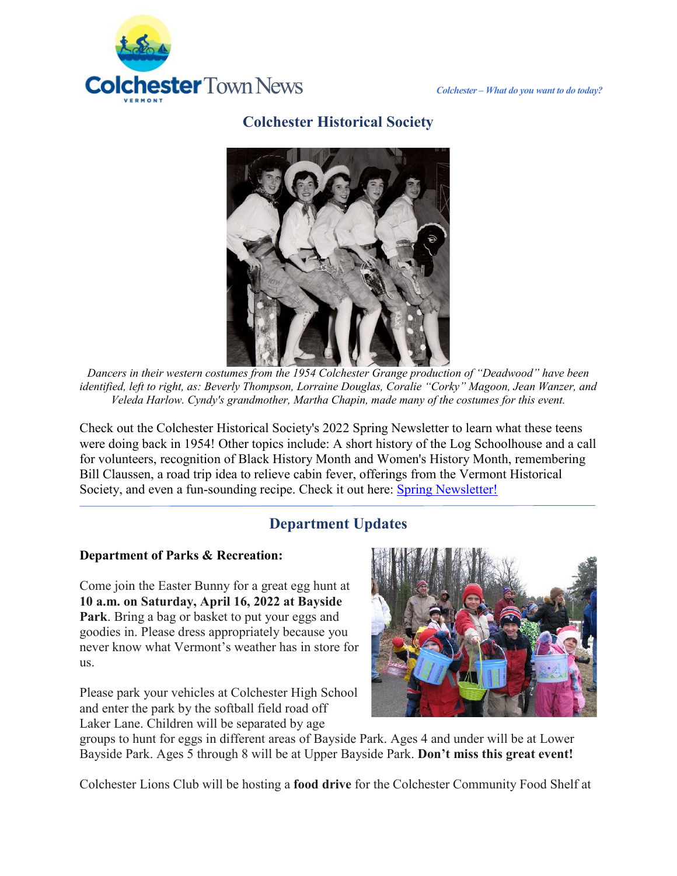

## **Colchester Historical Society**



*Dancers in their western costumes from the 1954 Colchester Grange production of "Deadwood" have been identified, left to right, as: Beverly Thompson, Lorraine Douglas, Coralie "Corky" Magoon, Jean Wanzer, and Veleda Harlow. Cyndy's grandmother, Martha Chapin, made many of the costumes for this event.* 

Check out the Colchester Historical Society's 2022 Spring Newsletter to learn what these teens were doing back in 1954! Other topics include: A short history of the Log Schoolhouse and a call for volunteers, recognition of Black History Month and Women's History Month, remembering Bill Claussen, a road trip idea to relieve cabin fever, offerings from the Vermont Historical Society, and even a fun-sounding recipe. Check it out here: [Spring Newsletter!](https://colchestervt.gov/DocumentCenter/View/7305/Spring-2022-Colchester-VT-Historical-Society-Newsletter?fbclid=IwAR0TfOqq5QxovY0I5DwEN8-Q5zqeKanUJC_ssC-TcVu5vHoego0ki-W8eRQ)

# **Department Updates**

### **Department of Parks & Recreation:**

Come join the Easter Bunny for a great egg hunt at **10 a.m. on Saturday, April 16, 2022 at Bayside Park**. Bring a bag or basket to put your eggs and goodies in. Please dress appropriately because you never know what Vermont's weather has in store for us.

Please park your vehicles at Colchester High School and enter the park by the softball field road off Laker Lane. Children will be separated by age



groups to hunt for eggs in different areas of Bayside Park. Ages 4 and under will be at Lower Bayside Park. Ages 5 through 8 will be at Upper Bayside Park. **Don't miss this great event!**

Colchester Lions Club will be hosting a **food drive** for the Colchester Community Food Shelf at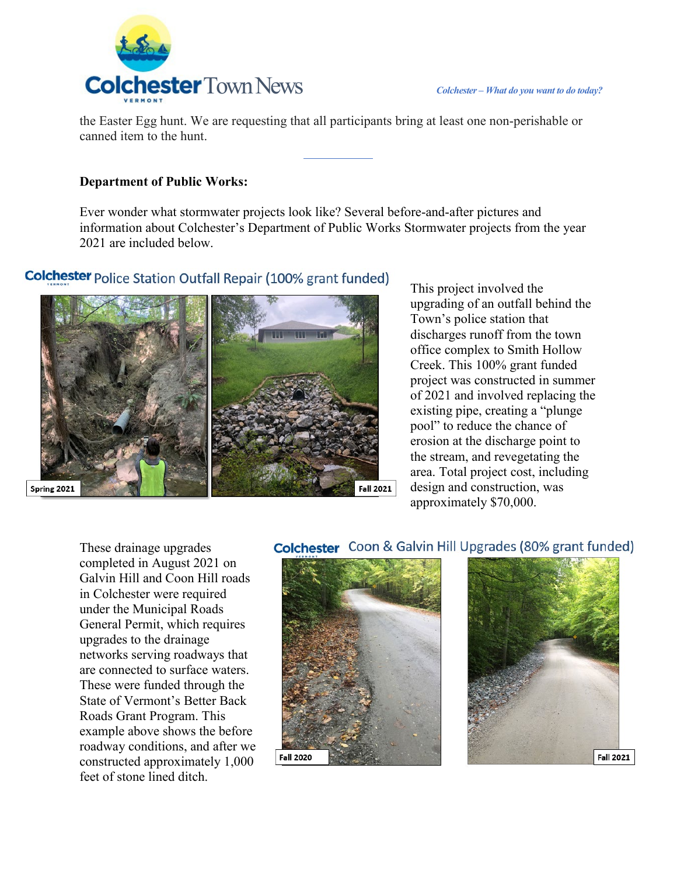

the Easter Egg hunt. We are requesting that all participants bring at least one non-perishable or canned item to the hunt.

#### **Department of Public Works:**

Ever wonder what stormwater projects look like? Several before-and-after pictures and information about Colchester's Department of Public Works Stormwater projects from the year 2021 are included below.

### **Colchester** Police Station Outfall Repair (100% grant funded)



This project involved the upgrading of an outfall behind the Town's police station that discharges runoff from the town office complex to Smith Hollow Creek. This 100% grant funded project was constructed in summer of 2021 and involved replacing the existing pipe, creating a "plunge pool" to reduce the chance of erosion at the discharge point to the stream, and revegetating the area. Total project cost, including design and construction, was approximately \$70,000.

These drainage upgrades completed in August 2021 on Galvin Hill and Coon Hill roads in Colchester were required under the Municipal Roads General Permit, which requires upgrades to the drainage networks serving roadways that are connected to surface waters. These were funded through the State of Vermont's Better Back Roads Grant Program. This example above shows the before roadway conditions, and after we constructed approximately 1,000 feet of stone lined ditch.

#### **Colchester** Coon & Galvin Hill Upgrades (80% grant funded)



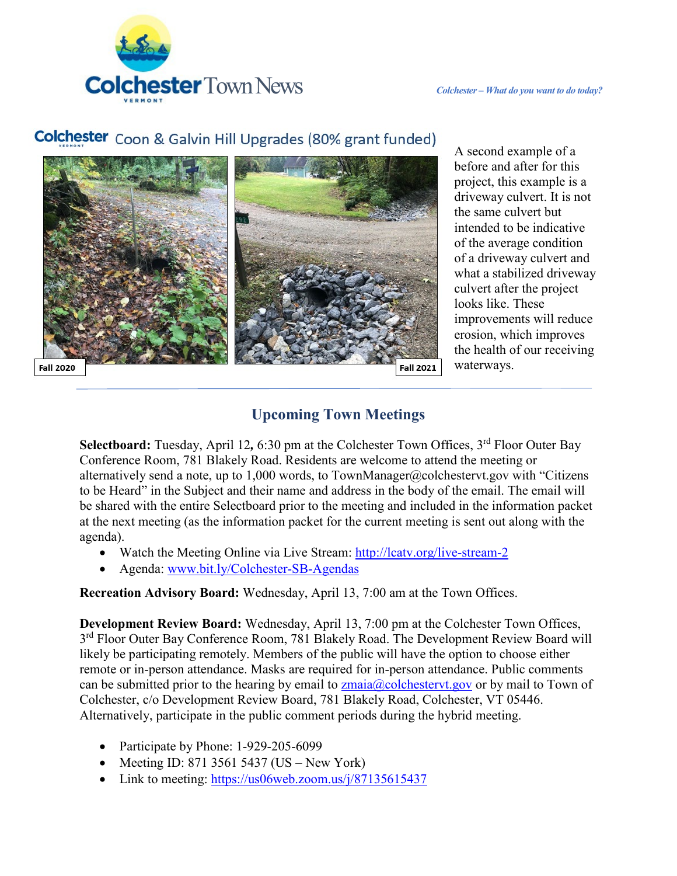

# **Colchester** Coon & Galvin Hill Upgrades (80% grant funded)



A second example of a before and after for this project, this example is a driveway culvert. It is not the same culvert but intended to be indicative of the average condition of a driveway culvert and what a stabilized driveway culvert after the project looks like. These improvements will reduce erosion, which improves the health of our receiving waterways.

# **Upcoming Town Meetings**

Selectboard: Tuesday, April 12, 6:30 pm at the Colchester Town Offices, 3<sup>rd</sup> Floor Outer Bay Conference Room, 781 Blakely Road. Residents are welcome to attend the meeting or alternatively send a note, up to 1,000 words, to TownManager@colchestervt.gov with "Citizens" to be Heard" in the Subject and their name and address in the body of the email. The email will be shared with the entire Selectboard prior to the meeting and included in the information packet at the next meeting (as the information packet for the current meeting is sent out along with the agenda).

- Watch the Meeting Online via Live Stream:<http://lcatv.org/live-stream-2>
- Agenda: [www.bit.ly/Colchester-SB-Agendas](http://www.bit.ly/Colchester-SB-Agendas)

**Recreation Advisory Board:** Wednesday, April 13, 7:00 am at the Town Offices.

**Development Review Board:** Wednesday, April 13, 7:00 pm at the Colchester Town Offices, 3<sup>rd</sup> Floor Outer Bay Conference Room, 781 Blakely Road. The Development Review Board will likely be participating remotely. Members of the public will have the option to choose either remote or in-person attendance. Masks are required for in-person attendance. Public comments can be submitted prior to the hearing by email to  $z_{\text{main}}(\partial \text{co})$ colchestervt.gov or by mail to Town of Colchester, c/o Development Review Board, 781 Blakely Road, Colchester, VT 05446. Alternatively, participate in the public comment periods during the hybrid meeting.

- Participate by Phone: 1-929-205-6099
- Meeting ID: 871 3561 5437 (US New York)
- Link to meeting:<https://us06web.zoom.us/j/87135615437>